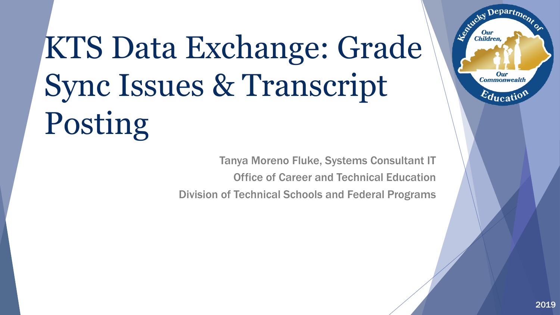# KTS Data Exchange: Grade Sync Issues & Transcript Posting

Tanya Moreno Fluke, Systems Consultant IT Office of Career and Technical Education Division of Technical Schools and Federal Programs Departme.

**Our Commonwealth** 

 $E_{\text{ducatio}}$ 

Estucky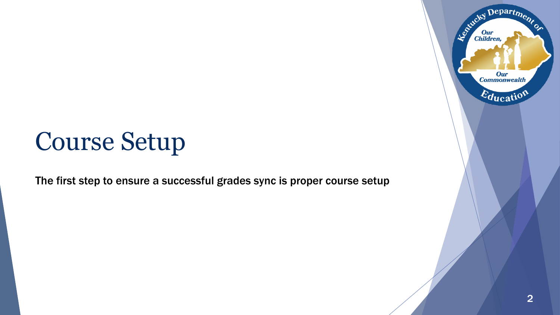#### Course Setup

The first step to ensure a successful grades sync is proper course setup

Department

Our<br>Commonwealth

Education

Established I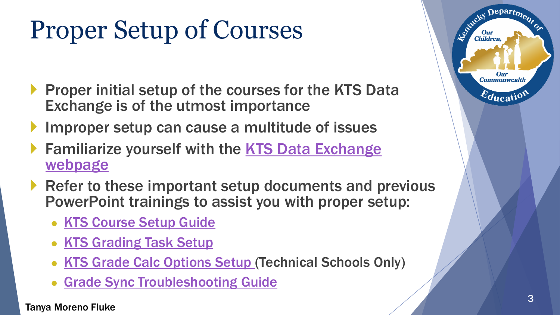## Proper Setup of Courses

- Proper initial setup of the courses for the KTS Data Exchange is of the utmost importance
- Improper setup can cause a multitude of issues
- Familiarize yourself with the KTS Data Exchange webpage
- Refer to these important setup documents and previous PowerPoint trainings to assist you with proper setup:
	- [KTS Course Setup Guide](https://education.ky.gov/districts/tech/sis/Documents/KSIS-KTS_CourseSetup-HighSchool.pdf)
	- [KTS Grading Task Setup](https://education.ky.gov/districts/tech/sis/Documents/KSIS-KTSGradingTask_Setup.pdf)
	- [KTS Grade Calc Options Setup](http://education.ky.gov/districts/tech/sis/Documents/KTS_Grade_Calc_Options_Setup.pdf) (Technical Schools Only)
	- [Grade Sync Troubleshooting Guide](http://education.ky.gov/districts/tech/sis/Documents/Grade_Sync_Troubleshooting_Guide.pdf)

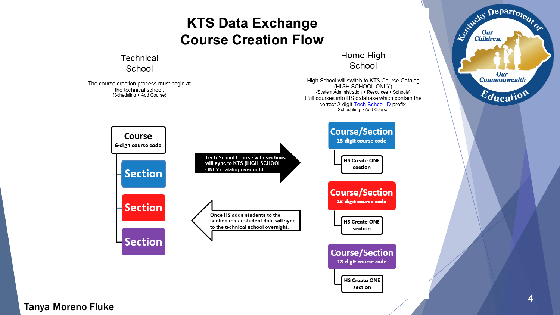#### **KTS Data Exchange Course Creation Flow**

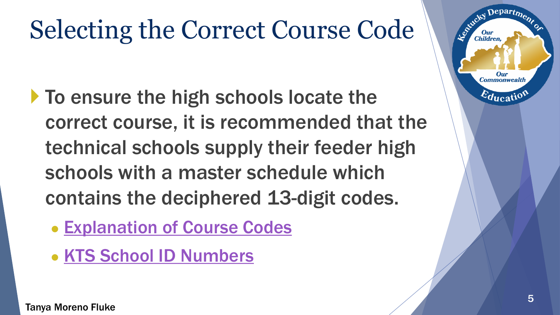## Selecting the Correct Course Code

- To ensure the high schools locate the correct course, it is recommended that the technical schools supply their feeder high schools with a master schedule which contains the deciphered 13-digit codes.
	- [Explanation of Course Codes](https://education.ky.gov/districts/tech/sis/Documents/Explanation_of_Course_Codes.pdf)
	- [KTS School ID Numbers](https://education.ky.gov/districts/tech/sis/Documents/KTS_Technical_School_ID_Numbers.pdf)

 $Depart_{\boldsymbol{D}}$ 

Our **Commonwealth** 

 $E_{\text{ducati}}$ 

Leonida Child

Children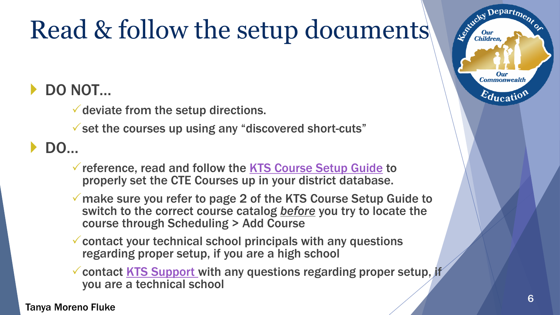# Read & follow the setup documents

#### DO NOT…

 $\checkmark$  deviate from the setup directions.

 $\checkmark$  set the courses up using any "discovered short-cuts"

DO…

- reference, read and follow the [KTS Course Setup Guide](https://education.ky.gov/districts/tech/sis/Documents/KSIS-KTS_CourseSetup-TechnicalSchools.pdf) to properly set the CTE Courses up in your district database.
- make sure you refer to page 2 of the KTS Course Setup Guide to switch to the correct course catalog *before* you try to locate the course through Scheduling > Add Course
- $\checkmark$  contact your technical school principals with any questions regarding proper setup, if you are a high school
- Contact [KTS Support w](mailto:tanya.fluke@education.ky.gov; ktssupport@education.ky.gov?subject=KTS Course Setup Question)ith any questions regarding proper setup, if you are a technical school

Tanya Moreno Fluke

Departme.

Our **Commonwealth** 

 $E_{\text{ducatio}}$ 

Le Child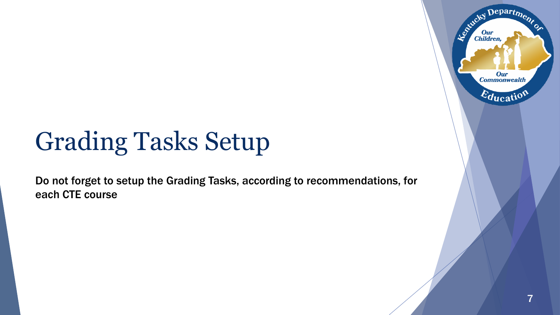### Grading Tasks Setup

Do not forget to setup the Grading Tasks, according to recommendations, for each CTE course

Departme.

**Our Commonwealth** 

 $E_{\text{ducatio}}$ 

Entreted I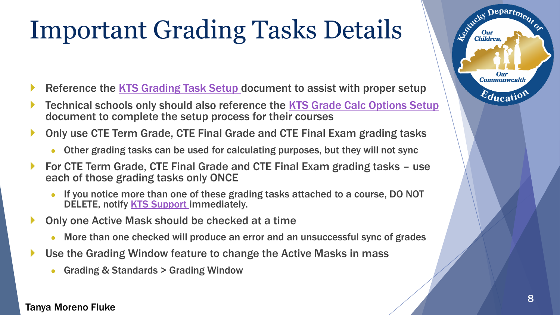## Important Grading Tasks Details

- Reference the [KTS Grading Task Setup](https://education.ky.gov/districts/tech/sis/Documents/KSIS-KTSGradingTask_Setup.pdf) document to assist with proper setup
- Technical schools only should also reference the [KTS Grade Calc Options Setup](http://education.ky.gov/districts/tech/sis/Documents/KTS_Grade_Calc_Options_Setup.pdf) document to complete the setup process for their courses
- Only use CTE Term Grade, CTE Final Grade and CTE Final Exam grading tasks
	- Other grading tasks can be used for calculating purposes, but they will not sync
- For CTE Term Grade, CTE Final Grade and CTE Final Exam grading tasks use each of those grading tasks only ONCE
	- If you notice more than one of these grading tasks attached to a course, DO NOT DELETE, notify [KTS Support i](mailto:tanya.fluke@education.ky.gov; ktssupport@education.ky.gov?subject=Duplicate Grading Tasks)mmediately.
- Only one Active Mask should be checked at a time
	- More than one checked will produce an error and an unsuccessful sync of grades
- Use the Grading Window feature to change the Active Masks in mass
	- Grading & Standards > Grading Window

#### Tanya Moreno Fluke

Departme.

**Our Commonwealth** 

 $\varepsilon_{\text{ducati}}$ 

Entreky I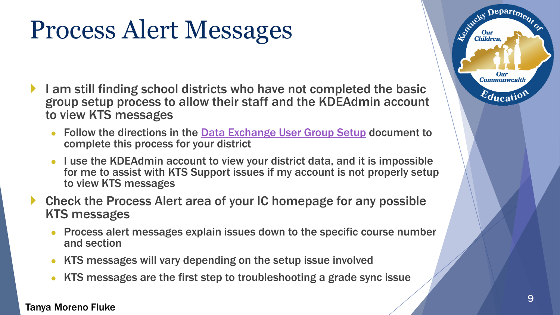### Process Alert Messages

- I am still finding school districts who have not completed the basic group setup process to allow their staff and the KDEAdmin account to view KTS messages
	- Follow the directions in the **[Data Exchange User Group Setup](http://education.ky.gov/districts/tech/sis/Documents/KSIS-KTS_AddUserGroup.pdf) document to** complete this process for your district
	- I use the KDEAdmin account to view your district data, and it is impossible for me to assist with KTS Support issues if my account is not properly setup to view KTS messages
- Check the Process Alert area of your IC homepage for any possible KTS messages
	- Process alert messages explain issues down to the specific course number and section
	- KTS messages will vary depending on the setup issue involved
	- KTS messages are the first step to troubleshooting a grade sync issue

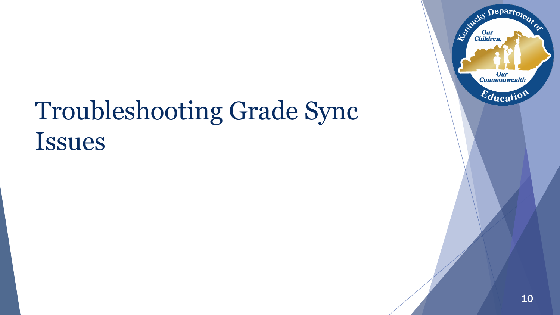

## Troubleshooting Grade Sync Issues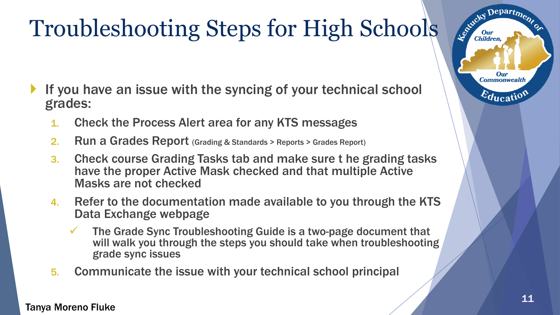#### Troubleshooting Steps for High Schools

- If you have an issue with the syncing of your technical school grades:
	- 1. Check the Process Alert area for any KTS messages
	- 2. Run a Grades Report (Grading & Standards > Reports > Grades Report)
	- 3. Check course Grading Tasks tab and make sure t he grading tasks have the proper Active Mask checked and that multiple Active Masks are not checked
	- 4. Refer to the documentation made available to you through the KTS Data Exchange webpage
		- The Grade Sync Troubleshooting Guide is a two-page document that will walk you through the steps you should take when troubleshooting grade sync issues
	- 5. Communicate the issue with your technical school principal

Depart<sub>m</sub>

**Our Commonwealth** 

 $\varepsilon_{\text{qucati}}$ 

Estucky I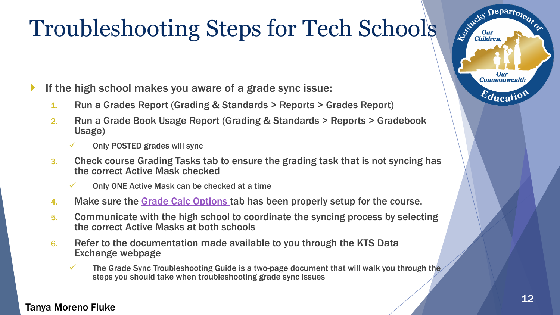#### Troubleshooting Steps for Tech Schools

- If the high school makes you aware of a grade sync issue:
	- 1. Run a Grades Report (Grading & Standards > Reports > Grades Report)
	- 2. Run a Grade Book Usage Report (Grading & Standards > Reports > Gradebook Usage)
		- Only POSTED grades will sync
	- 3. Check course Grading Tasks tab to ensure the grading task that is not syncing has the correct Active Mask checked
		- $\checkmark$  Only ONE Active Mask can be checked at a time
	- 4. Make sure the [Grade Calc Options](http://education.ky.gov/districts/tech/sis/Documents/KTS_Grade_Calc_Options_Setup.pdf) tab has been properly setup for the course.
	- 5. Communicate with the high school to coordinate the syncing process by selecting the correct Active Masks at both schools
	- 6. Refer to the documentation made available to you through the KTS Data Exchange webpage
		- $\checkmark$  The Grade Sync Troubleshooting Guide is a two-page document that will walk you through the steps you should take when troubleshooting grade sync issues

#### Tanya Moreno Fluke

Departme.

**Our Commonwealth** 

 $\varepsilon_{\text{ducati}}$ 

Le Childre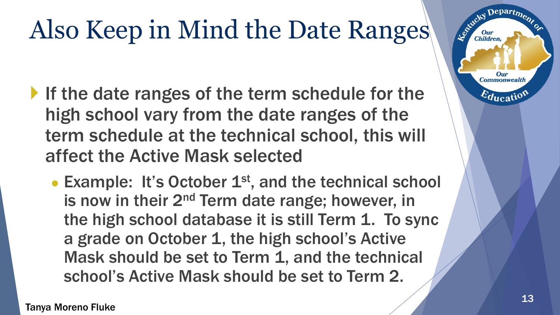# Also Keep in Mind the Date Ranges

- If the date ranges of the term schedule for the high school vary from the date ranges of the term schedule at the technical school, this will affect the Active Mask selected
	- Example: It's October  $1<sup>st</sup>$ , and the technical school is now in their 2<sup>nd</sup> Term date range; however, in the high school database it is still Term 1. To sync a grade on October 1, the high school's Active Mask should be set to Term 1, and the technical school's Active Mask should be set to Term 2.

epart<sub>m</sub> Le Child **Our**<br>Children Our **Commonwealth**  $\varepsilon_{\text{ducati}}$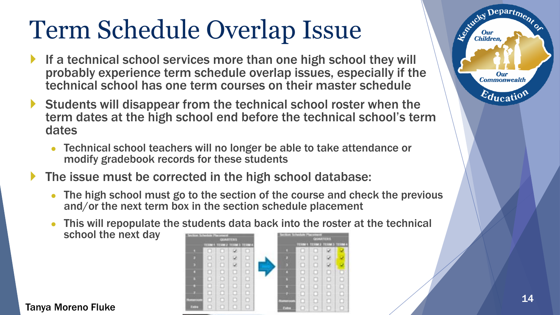### Term Schedule Overlap Issue

- If a technical school services more than one high school they will probably experience term schedule overlap issues, especially if the technical school has one term courses on their master schedule
- Students will disappear from the technical school roster when the term dates at the high school end before the technical school's term dates
	- Technical school teachers will no longer be able to take attendance or modify gradebook records for these students
- The issue must be corrected in the high school database:
	- The high school must go to the section of the course and check the previous and/or the next term box in the section schedule placement
	- This will repopulate the students data back into the roster at the technical school the next day



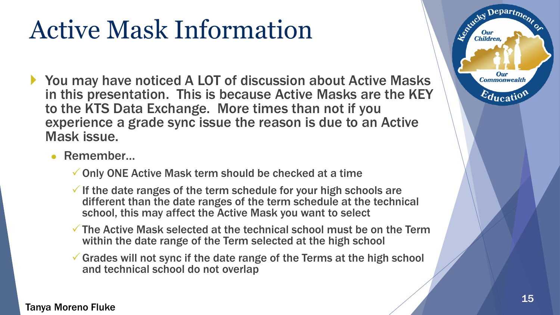### Active Mask Information

- ▶ You may have noticed A LOT of discussion about Active Masks in this presentation. This is because Active Masks are the KEY to the KTS Data Exchange. More times than not if you experience a grade sync issue the reason is due to an Active Mask issue.
	- Remember...
		- $\checkmark$  Only ONE Active Mask term should be checked at a time
		- $\checkmark$  If the date ranges of the term schedule for your high schools are different than the date ranges of the term schedule at the technical school, this may affect the Active Mask you want to select
		- $\checkmark$  The Active Mask selected at the technical school must be on the Term within the date range of the Term selected at the high school
		- $\checkmark$  Grades will not sync if the date range of the Terms at the high school and technical school do not overlap



Departme.

Our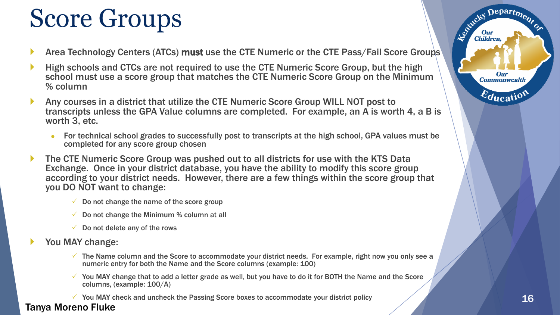### Score Groups

- Area Technology Centers (ATCs) must use the CTE Numeric or the CTE Pass/Fail Score Groups
- High schools and CTCs are not required to use the CTE Numeric Score Group, but the high school must use a score group that matches the CTE Numeric Score Group on the Minimum % column
- Any courses in a district that utilize the CTE Numeric Score Group WILL NOT post to transcripts unless the GPA Value columns are completed. For example, an A is worth 4, a B is worth 3, etc.
	- For technical school grades to successfully post to transcripts at the high school, GPA values must be completed for any score group chosen
- The CTE Numeric Score Group was pushed out to all districts for use with the KTS Data Exchange. Once in your district database, you have the ability to modify this score group according to your district needs. However, there are a few things within the score group that you DO NOT want to change:
	- $\checkmark$  Do not change the name of the score group
	- $\checkmark$  Do not change the Minimum % column at all
	- $\checkmark$  Do not delete any of the rows
- You MAY change:
	- $\checkmark$  The Name column and the Score to accommodate your district needs. For example, right now you only see a numeric entry for both the Name and the Score columns (example: 100)
	- $\checkmark$  You MAY change that to add a letter grade as well, but you have to do it for BOTH the Name and the Score columns, (example: 100/A)

 $\checkmark$  You MAY check and uncheck the Passing Score boxes to accommodate your district policy

Tanya Moreno Fluke



Department

**Our Commonwealth** 

 $\varepsilon_{\text{ducatio}}$ 

Entreter I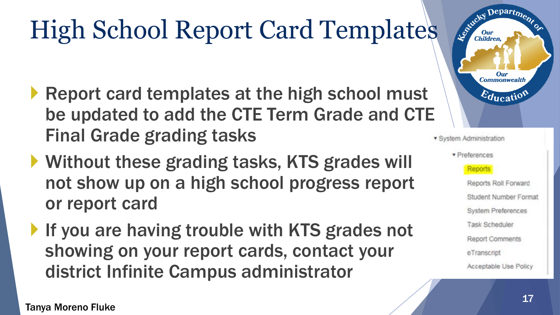# High School Report Card Templates

- Report card templates at the high school must be updated to add the CTE Term Grade and CTE Final Grade grading tasks
- ▶ Without these grading tasks, KTS grades will not show up on a high school progress report or report card
- If you are having trouble with KTS grades not showing on your report cards, contact your district Infinite Campus administrator

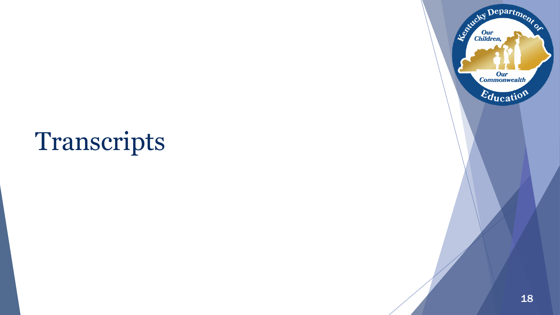#### Transcripts

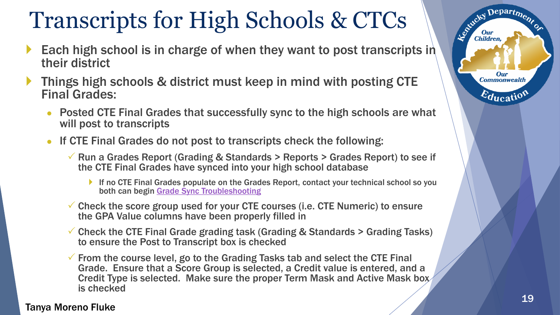#### Transcripts for High Schools & CTCs

- Each high school is in charge of when they want to post transcripts in their district
- Things high schools & district must keep in mind with posting CTE Final Grades:
	- **Posted CTE Final Grades that successfully sync to the high schools are what** will post to transcripts
	- If CTE Final Grades do not post to transcripts check the following:
		- $\checkmark$  Run a Grades Report (Grading & Standards > Reports > Grades Report) to see if the CTE Final Grades have synced into your high school database
			- If no CTE Final Grades populate on the Grades Report, contact your technical school so you both can begin [Grade Sync Troubleshooting](http://education.ky.gov/districts/tech/sis/Documents/Grade_Sync_Troubleshooting_Guide.pdf)
		- $\checkmark$  Check the score group used for your CTE courses (i.e. CTE Numeric) to ensure the GPA Value columns have been properly filled in
		- $\checkmark$  Check the CTE Final Grade grading task (Grading & Standards  $>$  Grading Tasks) to ensure the Post to Transcript box is checked
		- $\checkmark$  From the course level, go to the Grading Tasks tab and select the CTE Final Grade. Ensure that a Score Group is selected, a Credit value is entered, and a Credit Type is selected. Make sure the proper Term Mask and Active Mask box is checked

#### Tanya Moreno Fluke

Department

**Our Commonwealth** 

 $\varepsilon_{\text{ducati}}$ 

Established I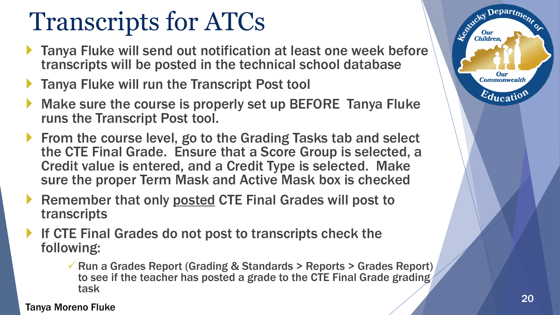#### Transcripts for ATCs

- ▶ Tanya Fluke will send out notification at least one week before transcripts will be posted in the technical school database
- **Tanya Fluke will run the Transcript Post tool**
- Make sure the course is properly set up BEFORE Tanya Fluke runs the Transcript Post tool.
- From the course level, go to the Grading Tasks tab and select the CTE Final Grade. Ensure that a Score Group is selected, a Credit value is entered, and a Credit Type is selected. Make sure the proper Term Mask and Active Mask box is checked
- Remember that only posted CTE Final Grades will post to transcripts
- If CTE Final Grades do not post to transcripts check the following:
	- $\sqrt{R}$  Run a Grades Report (Grading & Standards > Reports > Grades Report) to see if the teacher has posted a grade to the CTE Final Grade grading task

Tanya Moreno Fluke

Departme.

Our **Commonwealth** 

 $\varepsilon_{\text{ducatio}}$ 

Le Child

**Children**